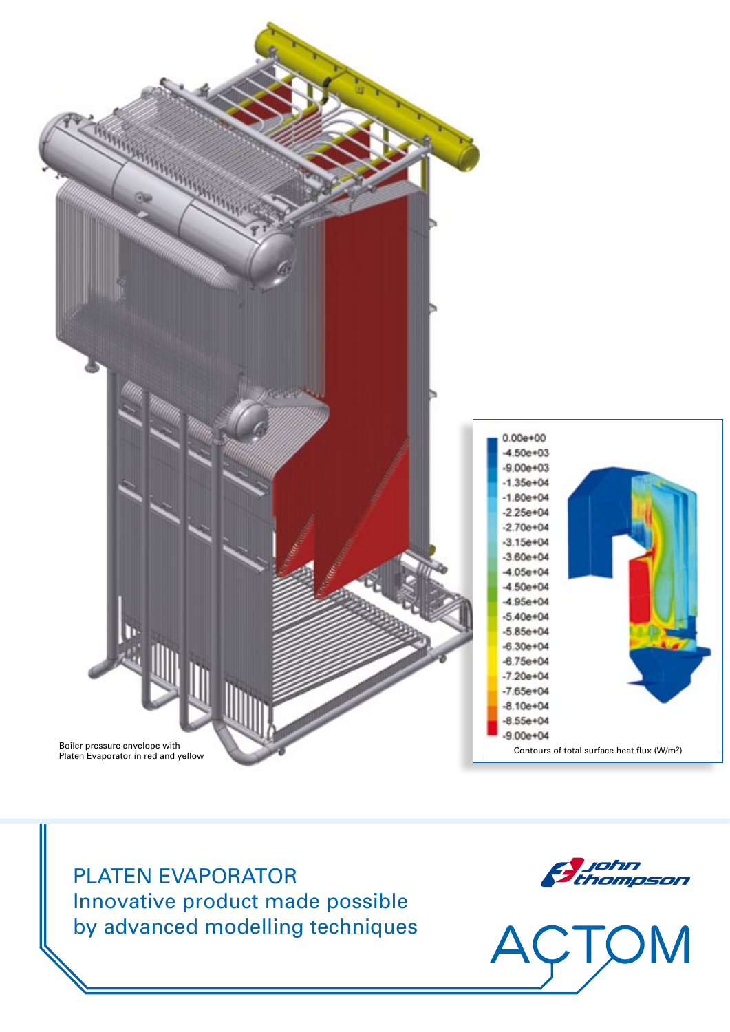

PLATEN EVAPORATOR Innovative product made possible by advanced modelling techniques